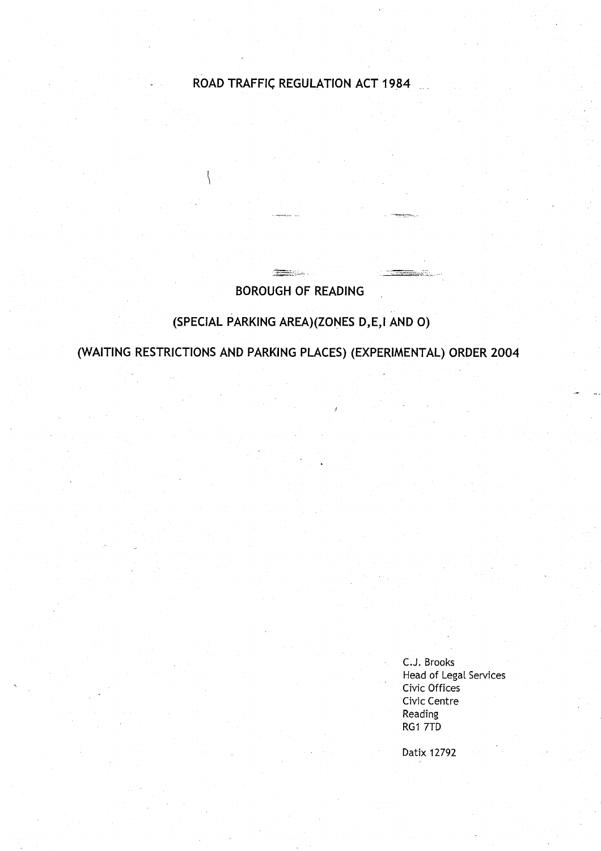# **ROAD TRAFFIC REGULATION ACT 1984**

# **BOROUGH OF READING**

**SHARE COMPANY** 

# **(SPECIAL PARKING AREA** )(**ZONES D,E,I AND 0 )**

**(WAITING RESTRICTIONS AND PARKING PLACES** ) (**EXPERIMENTAL) ORDER 2004**

<sup>C</sup> .J. Brooks Head of Legal Services Civic Offices Civic Centre **Reading RG1 7TD** 

Datix 12792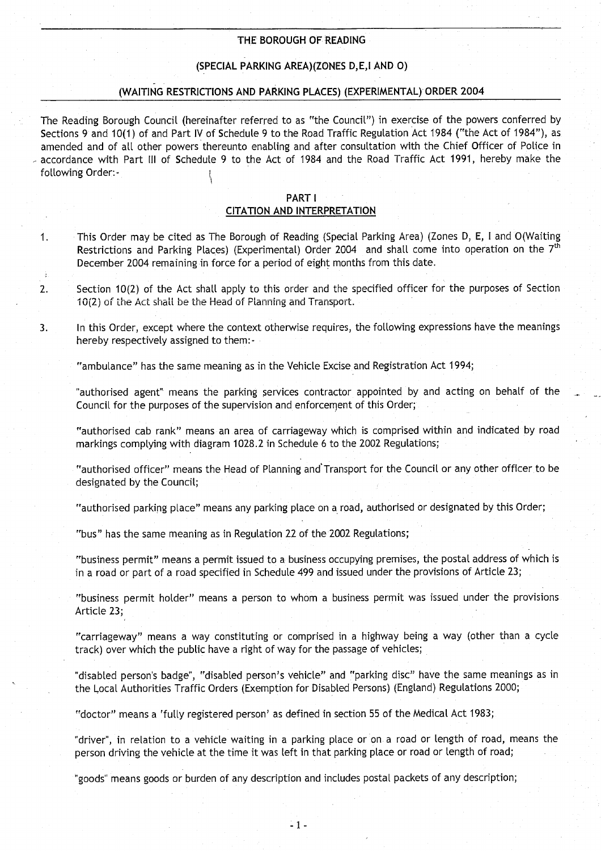#### THE BOROUGH OF READING

### (SPECIAL PARKING AREA)(ZONES D,E,I AND 0 )

#### (WAITING RESTRICTIONS AND PARKING PLACES) (EXPERIMENTAL) ORDER 2004

The Reading Borough Council (hereinafter referred to as "the Council") in exercise of the powers conferred by Sections 9 and 10(1) of and Part IV of Schedule 9 to the Road Traffic Regulation Act 1984 ("the Act of 1984"), as amended and of all other powers thereunto enabling and after consultation with the Chief Officer of Police in accordance with Part III of Schedule 9 to the Act of 1984 and the Road Traffic Act 1991, hereby make the following Order:-

#### PART **<sup>I</sup>**

#### CITATION AND INTERPRETATION

- <sup>1</sup> . This Order may be cited as The Borough of Reading (Special Parking Area) (Zones D, E, I and O(Waiting Restrictions and Parking Places) (Experimental) Order 2004 and shall come into operation on the 7<sup>th</sup> December 2004 remaining in force for a period of eight months from this date .
- 2. Section 10(2) of the Act shall apply to this order and the specified officer for the purposes of Section 10(2) of the Act shall be the Head of Planning and Transport.
- <sup>3</sup> . In this Order, except where the context otherwise requires, the following expressions have the meanings hereby respectively assigned to them:-

"ambulance" has the same meaning as in the Vehicle Excise and Registration Act 1994 ;

"authorised agent" means the parking services contractor appointed by and acting on behalf of the Council for the purposes of the supervision and enforcement of this Order;

"authorised cab rank" means an area of carriageway which is comprised within and indicated by road markings complying with diagram 1028.2 in Schedule 6 to the 2002 Regulations;

"authorised officer" means the Head of Planning and'Transport for the Council or any other officer to be designated by the Council;

"authorised parking place" means any parking place on a road, authorised or designated by this Order;

"bus" has the same meaning as in Regulation 22 of the 2002 Regulations;

"business permit" means a permit issued to a business occupying premises, the postal address of which is in a road or part of a road specified in Schedule 499 and issued under the provisions of Article 23;

"business permit holder" means a person to whom a business permit was issued under the provisions Article 23;

"carriageway" means a way constituting or comprised in a highway being a way (other than a cycle track) over which the public have a right of way for the passage of vehicles;

"disabled person's badge", "disabled person's vehicle" and "parking disc" have the same meanings as in the Local Authorities Traffic Orders (Exemption for Disabled Persons) (England) Regulations 2000;

"doctor" means a 'fully registered person' as defined in section 55 of the Medical Act 1983;

"driver", in relation to a vehicle waiting in a parking place or on a road or length of road, means the person driving the vehicle at the time it was left in that parking place or road or length of road;

"goods" means goods or burden of any description and includes postal packets of any description;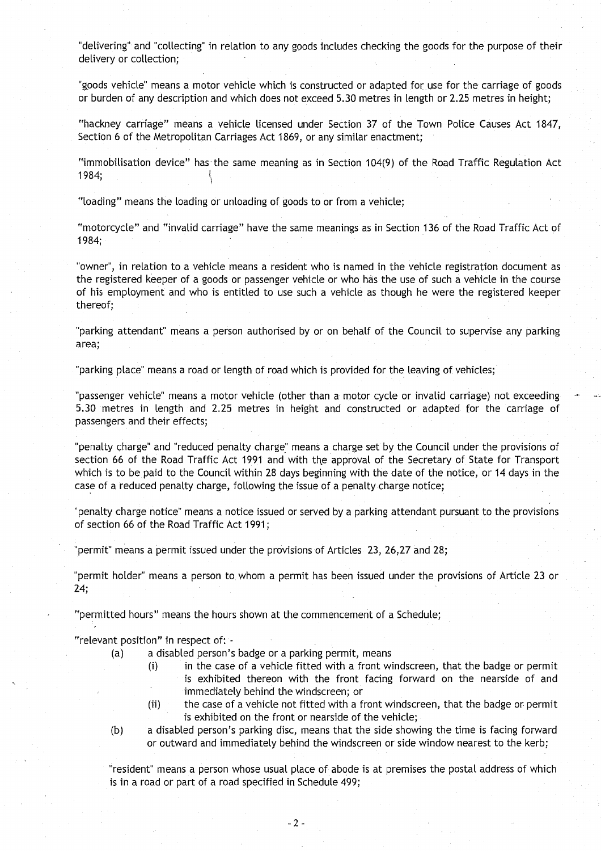"delivering"and "collecting" in relation to any goods includes checking the goods for the purpose of their delivery or collection;

"goods vehicle" means a motor vehicle which is constructed or adapted for use for the carriage of goods or burden of any description and which does not exceed 5.30 metres in length or 2.25 metres in height;

"hackney carriage" means a vehicle licensed under Section 37 of the Town Police Causes Act 1847, Section 6 of the Metropolitan Carriages Act 1869, or any similar enactment;

"immobilisation device" has the same meaning as in Section 104(9) of the Road Traffic Regulation Act 1984;

"loading" means the loading or unloading of goods to or from a vehicle ;

"motorcycle" and "invalid carriage" have the same meanings as in Section 136 of the Road Traffic Act of 1984;

"owner", in relation to a vehicle means a resident who is named in the vehicle registration document as the registered keeper of a goods or passenger vehicle or who has the use of such a vehicle in the course of his employment and who is entitled to use such a vehicle as though he were the registered keeper thereof;

"parking attendant" means a person authorised by or on behalf of the Council to supervise any parking area;

"parking place" means a road or length of road which is provided for the leaving of vehicles;

"passenger vehicle" means a motor vehicle (other than a motor cycle or invalid carriage) not exceeding <sup>5</sup> .30 metres in length and 2 .25 metres in height and constructed or adapted for the carriage of passengers and their effects;

"penalty charge" and "reduced penalty charge" means a charge set by the Council under the provisions of section 66 of the Road Traffic Act 1991 and with the approval of the Secretary of State for Transport which is to be paid to the Council within 28 days beginning with the date of the notice, or 14 days in the case of a reduced penalty charge, following the issue of a penalty charge notice ;

"penalty charge notice" means a notice issued or served by a parking attendant pursuant to the provisions of section 66 of the Road Traffic Act 1991 ;

"permit" means a permit issued under the provisions of Articles 23, 26,27 and 28;

"permit holder" means a person to whom a permit has been issued under the provisions of Article 23 or 24;

"permitted hours" means the hours shown at the commencement of a Schedule ;

"relevant position" in respect of:

(a) a disabled person's badge or a parking permit, means

- (i) in the case of a vehicle fitted with a front windscreen, that the badge or permit is exhibited thereon with the front facing forward on the nearside of and immediately behind the windscreen; or
- (ii) the case of a vehicle not fitted with a front windscreen, that the badge or permit is exhibited on the front or nearside of the vehicle;
- (b) a disabled person's parking disc, means that the side showing the time is facing forward or outward and immediately behind the windscreen or side window nearest to the kerb;

"resident" means a person whose usual place of abode is at premises the postal address of which is in a road or part of a road specified in Schedule 499;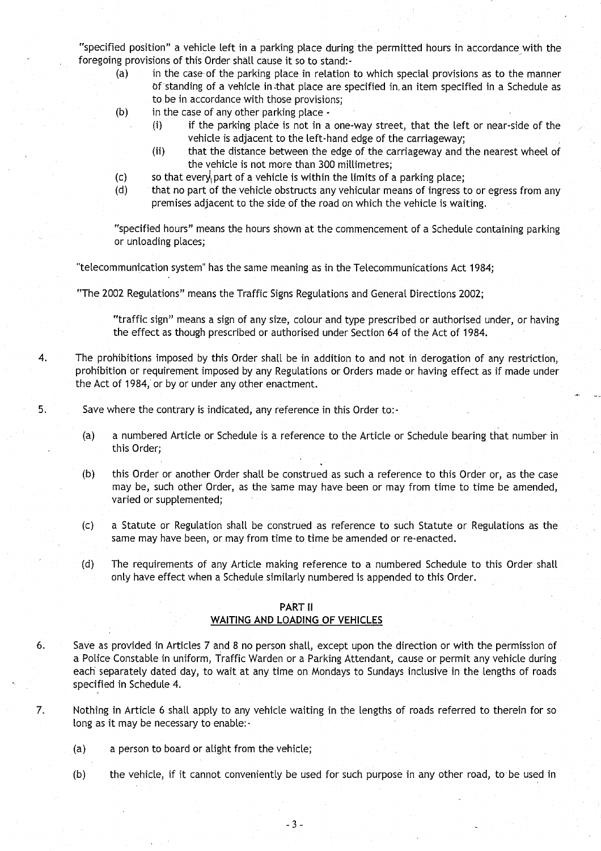"specified position" a vehicle left in a parking place during the permitted hours in accordance with the foregoing provisions of this Order shall cause it so to stand:-

- (a) in the case of the parking place in relation to which special provisions as to the manner of standing of a vehicle in .that place are specified in-an item specified in a Schedule as to be in accordance with those provisions;
- $(b)$  in the case of any other parking place -
	- (i) if the parking place is not in a one-way street, that the left or near-side of the vehicle is adjacent to the left-hand edge of the carriageway;
	- (ii) that the distance between the edge of the carriageway and the nearest wheel of the vehicle is not more than 300 millimetres;
- $(c)$  so that every part of a vehicle is within the limits of a parking place;
- (d) that no part of the vehicle obstructs any vehicular means of ingress to or egress from any premises adjacent to the side of the road on which the vehicle is waiting.

"specified hours" means the hours shown at the commencement of a Schedule containing parking or unloading places;

"telecommunication system" has the same meaning as in the Telecommunications Act 1984;

"The 2002 Regulations" means the Traffic Signs Regulations and General Directions 2002 ;

"traffic sign" means a sign of any size, colour and type prescribed or authorised under, or having the effect as though prescribed or authorised under Section 64 of the Act of 1984.

4 . The prohibitions imposed by this Order shalt be in addition to and not in derogation of any restriction, prohibition or requirement imposed by any Regulations or Orders made or having effect as if made under the Act of 1984, or by or under any other enactment.

5. Save where the contrary is indicated, any reference in this Order to:-

- (a) a numbered Article or Schedule is a reference to the Article or Schedule bearing that number in this Order;
- (b) this Order or another Order shall be construed as such a reference to this Order or, as the case may be, such other Order, as the same may have been or may from time to time be amended, varied or supplemented;
- (c) a Statute or Regulation shall be construed as reference to such Statute or Regulations as the same may have been, or may from time to time be amended or re-enacted .
- (d) The requirements of any Article making reference to a numbered Schedule to this Order shall only have effect when a Schedule similarly numbered is appended to this Order .

#### PART II WAITING AND LOADING OF VEHICLES

- <sup>6</sup> . Save as provided, in Articles 7 and 8 no person shall, except upon the direction or with the permission of a Police Constable in uniform, Traffic Warden or a Parking Attendant, cause or permit any vehicle during each separately dated day, to wait at any time on Mondays to Sundays inclusive in the lengths of roads specified in Schedule 4.
- <sup>7</sup> . Nothing in Article 6 shall apply to any vehicle waiting in the lengths of roads referred to therein for so long as it may be necessary to enable:-
	- (a) a person to board or alight from the vehicle;
	- (b) the vehicle, if it cannot conveniently be used for such purpose in any other road, to be used in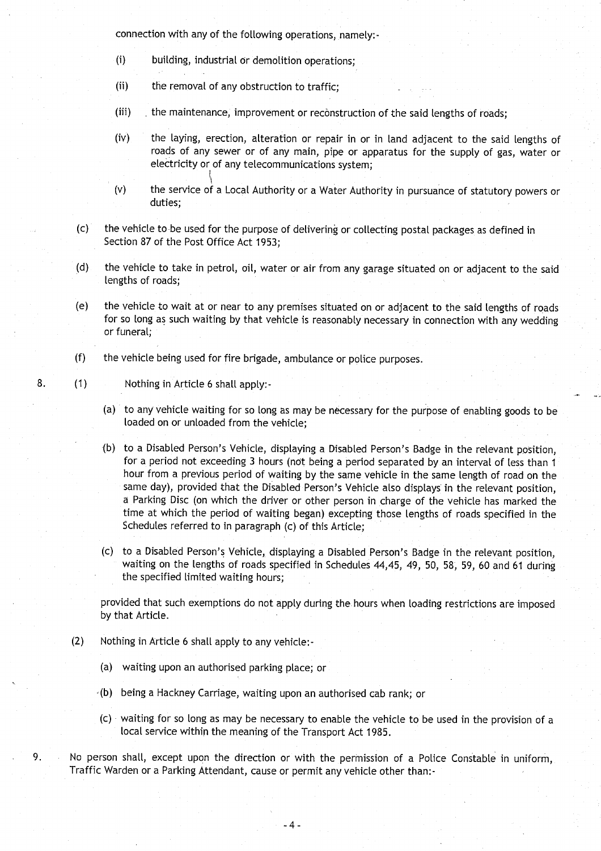connection with any of the following operations, namely:-

- (i) building, industrial or demolition operations;
- (ii) the removal of any obstruction to traffic;
- (iii) the maintenance, improvement or reconstruction of the said lengths of roads;
- (iv) the laying, erection, alteration or repair in or in land adjacent to the said lengths of roads of any sewer or of any main, pipe or apparatus for the supply of gas, water or electricity or of any telecommunications system;
- (v) the service of a Local Authority or a Water Authority in pursuance of statutory powers or duties;
- (c) the vehicle to be used for the purpose of delivering or collecting postal packages as defined in Section 87 of the Post Office Act 1953;
- (d) the vehicle to take in petrol, oil, water or air from any garage situated on or adjacent to the said lengths of roads;
- (e) the vehicle to wait at or near to any premises situated on or adjacent to the said lengths of roads for so long as such waiting by that vehicle is reasonably necessary in connection with any wedding or funeral;
- (f) the vehicle being used for fire brigade, ambulance or police purposes .

8. (1) Nothing in Article 6 shall apply:-

- (a) to any vehicle waiting for so long as may be necessary for the purpose of enabling goods to be loaded on or unloaded from the vehicle:
- (b) to a Disabled Person's Vehicle, displaying a Disabled Person's Badge in the relevant position, for a period not exceeding 3 hours (not being a period separated by an interval of less than 1 hour from a previous period of waiting by the same vehicle in the same length of road on the same day), provided that the Disabled Person's Vehicle also displays in the relevant position, a Parking Disc (on which the driver or other person in charge of the vehicle has marked the time at which the period of waiting began) excepting those lengths of roads specified in the Schedules referred to in paragraph (c) of this Article;
- (c) to a Disabled Person's Vehicle, displaying a Disabled Person's Badge in the relevant position, waiting on the lengths of roads specified in Schedules 44,45, 49, 50, 58, 59, 60 and 61 during the specified limited waiting hours;

provided that such exemptions do not apply during the hours when loading restrictions are imposed by that Article.

- (2) Nothing in Article 6 shall apply to any vehicle :
	- (a) waiting upon an authorised parking place; or
	- -(b) being a Hackney Carriage, waiting upon an authorised cab rank; or
	- (c) waiting for so long as may be necessary to enable the vehicle to be used in the provision of a local service within the meaning of the Transport Act 1985.
- 9. No person shall, except upon the direction or with the permission of a Police Constable in uniform, Traffic Warden or a Parking Attendant, cause or permit any vehicle other than:-

-4-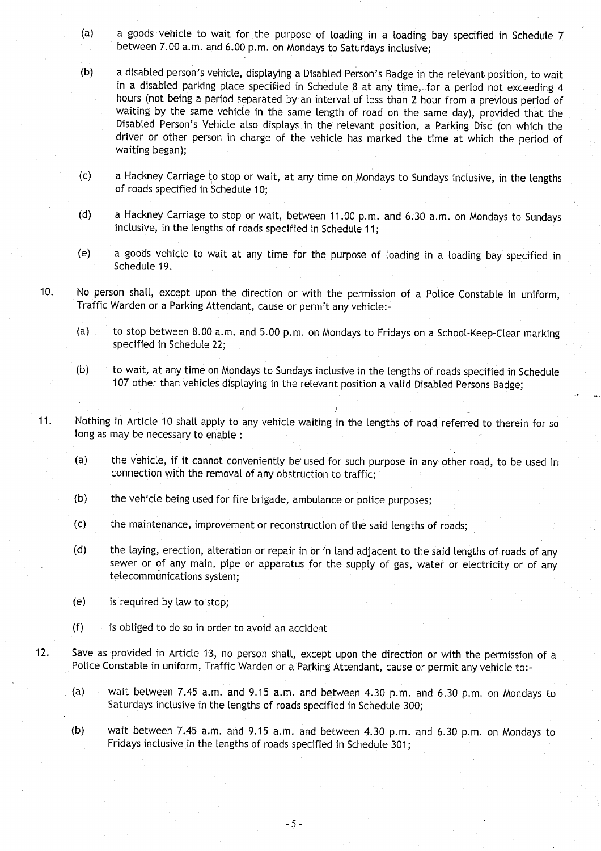- (a) a goods vehicle to wait for the purpose of loading in a loading bay specified in Schedule 7 between 7.00 a.m. and 6.00 p.m. on Mondays to Saturdays inclusive;
- (b) a disabled person's vehicle, displaying a Disabled Person's Badge in the relevant position, to wait in a disabled parking place specified in Schedule 8 at any time,-for a period not exceeding 4 hours (not being a period separated by an interval of less than 2 hour from a previous period of waiting by the same vehicle in the same length of road on the same day), provided that the Disabled Person's Vehicle also displays in the relevant position, a Parking Disc (on which the driver or other person in charge of the vehicle has marked the time at which the period of waiting began);
- $(c)$  a Hackney Carriage to stop or wait, at any time on Mondays to Sundays inclusive, in the lengths of roads specified in Schedule 10:
- (d) a Hackney Carriage to stop or wait, between 11.00 p.m. and 6.30 a.m. on Mondays to Sundays inclusive, in the lengths of roads specified in Schedule 11;
- (e) a goods vehicle to wait at any time for the purpose of loading in a loading bay specified in Schedule 19.
- 10. No person shall, except upon the direction or with the permission of a Police Constable in uniform, Traffic Warden or a Parking Attendant, cause or permit any vehicle:-
	- (a) to stop between 8.00 a.m. and 5.00 p.m. on Mondays to Fridays on a School-Keep-Clear marking specified in Schedule 22;
	- (b) to wait, at any time on Mondays to Sundays inclusive in the lengths of roads specified in Schedule 107 other than vehicles displaying in the relevant position a valid Disabled Persons Badge;
- <sup>11</sup> . Nothing in Article 10 shall apply to any vehicle waiting in the lengths of road referred to therein for so long as may be necessary to enable :
	- (a) the vehicle, if it cannot conveniently be used for such purpose in any other road, to be used in connection with the removal of any obstruction to traffic;
	- (b) the vehicle being used for fire brigade, ambulance or police purposes;
	- (c) the maintenance, improvement or reconstruction of the said lengths of roads ;
	- (d) the laying, erection, alteration or repair in or in land adjacent to the said lengths of roads of any sewer or of any main, pipe or apparatus for the supply of gas, water or electricity or of any telecommunications system;
	- (e) is required by law to stop;
	- $(f)$  is obliged to do so in order to avoid an accident
- 12. Save as provided in Article 13, no person shall, except upon the direction or with the permission of a Police Constable in uniform, Traffic Warden or a Parking Attendant, cause or permit any vehicle to:-
	- (a)  $\rightarrow$  wait between 7.45 a.m. and 9.15 a.m. and between 4.30 p.m. and 6.30 p.m. on Mondays to Saturdays inclusive in the lengths of roads specified in Schedule 300;
	- (b) wait between 7.45 a.m. and 9.15 a.m. and between 4.30 p.m. and 6.30 p.m. on Mondays to Fridays inclusive in the lengths of roads specified in Schedule 301;

-5-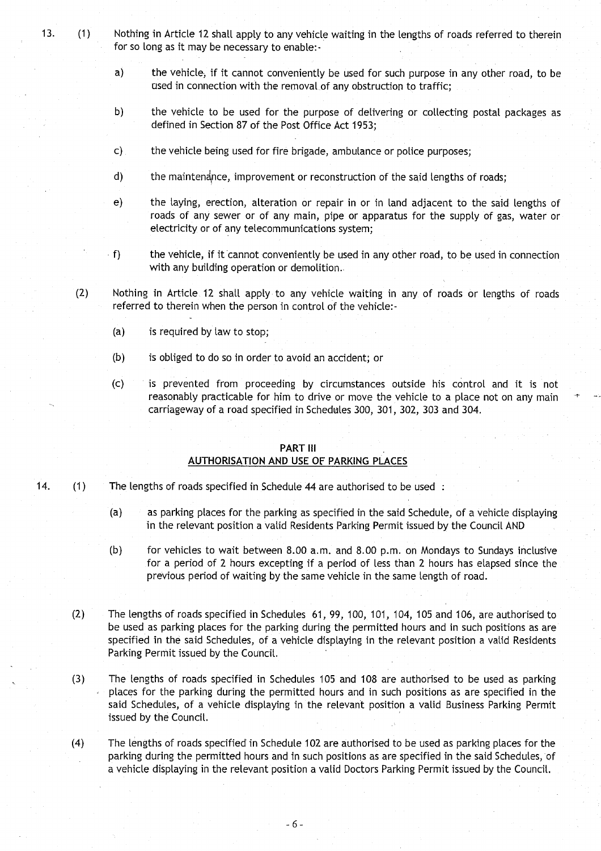- 13. (1) Nothing in Article 12 shall apply to any vehicle waiting in the lengths of roads referred to therein for so long as it may be necessary to enable:
	- a) the vehicle; if it cannot conveniently be used for such purpose in any other road, to be used in connection with the removal of any obstruction to traffic;
	- b) the vehicle to be used for the purpose of delivering or collecting postal packages as defined in Section 87 of the Post Office Act 1953;
	- c) the vehicle being used for fire brigade, ambulance or police purposes;
	- d) the maintenance, improvement or reconstruction of the said lengths of roads;
	- e) the laying, erection, alteration or repair in or in land adjacent to the said lengths of roads of any sewer or of any main, pipe or apparatus for the supply of gas, water or electricity or of any telecommunications system;
	- f) the vehicle, if it cannot conveniently be used in any other road, to be used in connection with any building operation or demolition. .
	- (2) Nothing in Article 12 shall apply to any vehicle waiting in any of roads or lengths of roads referred to therein when the person in control of the vehicle:-
		- (a) is required by law to stop;
		- $(b)$  is obliged to do so in order to avoid an accident; or
		- (c) is prevented from proceeding by circumstances outside his control and it is not reasonably practicable for him to drive or move the vehicle to a place not on any main carriageway of a road specified in Schedules 300, 301, 302, 303 and 304 .

#### PART III

### AUTHORISATION AND USE OF PARKING PLACES

- 14. (1) The lengths of roads specified in Schedule 44 are authorised to be used :
	- (a) as parking places for the parking as specified in the said Schedule, of a vehicle displaying in the relevant position a valid Residents Parking Permit issued by the Council AND
	- (b) for vehicles to wait between 8 .00 a.m . and 8 .00 p.m . on Mondays to Sundays inclusive for a period of 2 hours excepting if a period of less than 2 hours has elapsed since the previous period of waiting by the same vehicle in the same length of road.
	- (2) The lengths of roads specified in Schedules 61, 99, 100, 101, 104, 105 and 106, are authorised to be used as parking places for the parking during the permitted hours and in such positions as are specified in the said Schedules, of a vehicle displaying in the relevant position a valid Residents Parking Permit issued by the Council.
	- (3) The lengths of roads specified in Schedules 105 and 108 are authorised to be used as parking places for the parking during the permitted hours and in such positions as are specified in the said Schedules, of a vehicle displaying in the relevant position a valid Business Parking Permit issued by the Council.
	- (4) The lengths of roads specified in Schedule 102 are authorised to be used as parking places for the parking during the permitted hours and in such positions as are specified in the said Schedules, of a vehicle displaying in the relevant position a valid Doctors Parking Permit issued by the Council .

-6-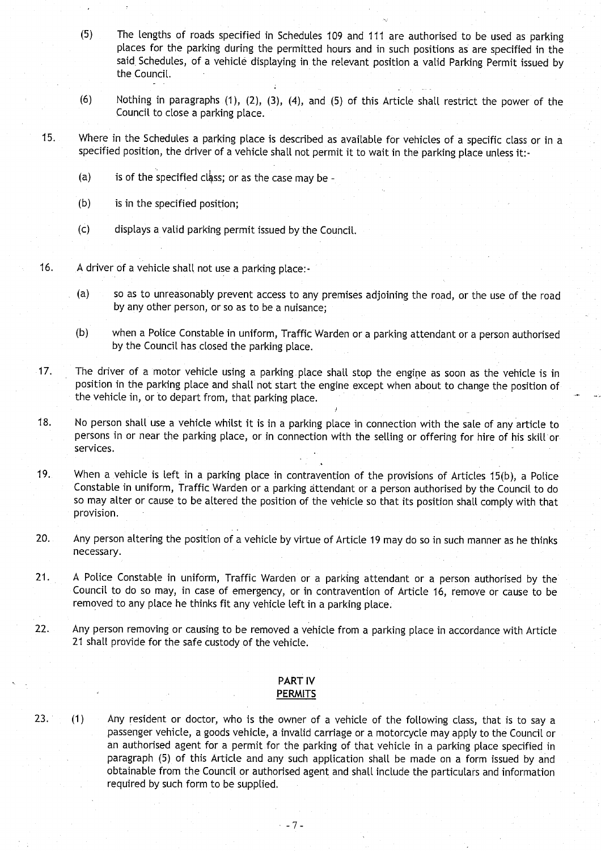- **(5) The lengths of roads specified in Schedules 109 and 111 are authorised to be used as parking places for the parking during the permitted hours and in such positions as are specified in the said, Schedules**, **of a vehicle displaying in the relevant position a valid Parking Permit issued by** the Council.
- **(6) Nothing in paragraphs (1), (2), (3), (4), and (5) of this Article shall restrict the power of the Council to close a parking place.**
- **15 . Where in the Schedules a parking place is described as available for vehicles of a specific class or in a specified position** , **the driver of a vehicle shall not permit it to wait in the parking place unless it :-**
	- **(a) is of the specified class**; **or as the case may be**
	- **(b) is in the specified position ;**
	- (**c) displays a valid parking permit issued by the Council .**
- <sup>16</sup> . A driver **of a vehicle shall not use a parking place :**
	- **(a) so as to unreasonably prevent access to any premises adjoining the road** , **or the use of the road by any other person** , **or so as to be a nuisance;**
	- **(b) when a Police Constable in uniform** , **Traffic Warden or a parking attendant or a person authorised by the Council has closed the parking place .**
- **17. The driver of a motor vehicle using a parking place shall stop the engine as soon as the vehicle is in position in the parking place and** shalt **not start the engine except when about to change the position of the vehicle in, or to depart from**, **that parking place.**
- **18. No person shall use a vehicle whilst it is in a parking place in connection with the sale of any article to persons in or near the parking place** , **or in connection with the selling or offering for hire of his skill or services.**
- **19. When a vehicle is left in a parking place in contravention of the provisions of Articles 15(b), a Police Constable in uniform**, **Traffic Warden or a parking attendant or a person authorised by the Council to do so may alter or cause to be altered the position of the vehicle so that its position shall comply with that provision .**
- **20. Any person altering the position of a vehicle by virtue of Article 19 may do so in such manner as he thinks necessa**ry**.**
- **<sup>21</sup> . A Police Constable in uniform** , Traffic **Warden or a parking attendant or a person authorised by the Council to do so may** , **in case of emergency**, **or in contravention of Article 16, remove or cause to be removed to any place he thinks fit any vehicle left in a parking place .**
- 22. Any **person removing or causing to be removed a vehicle from a parking place in accordance with Article 21 shall provide for the safe custody of the vehicle .**

## **PART IV PERMITS**

**23. (1) Any resident or doctor, who is the owner of a vehicle of the following class** , **that is to say <sup>a</sup> passenger vehicle**, **a goods vehicle**, **a invalid carriage or a motorcycle may apply to the Council or an authorised agent for a permit for the parking of that vehicle in a parking place specified in paragraph** (**5) of this Article and any such application shall be made on a form issued by and obtainable from the Council or authorised agent and** shalt **include the particulars and information** required by such form to be supplied.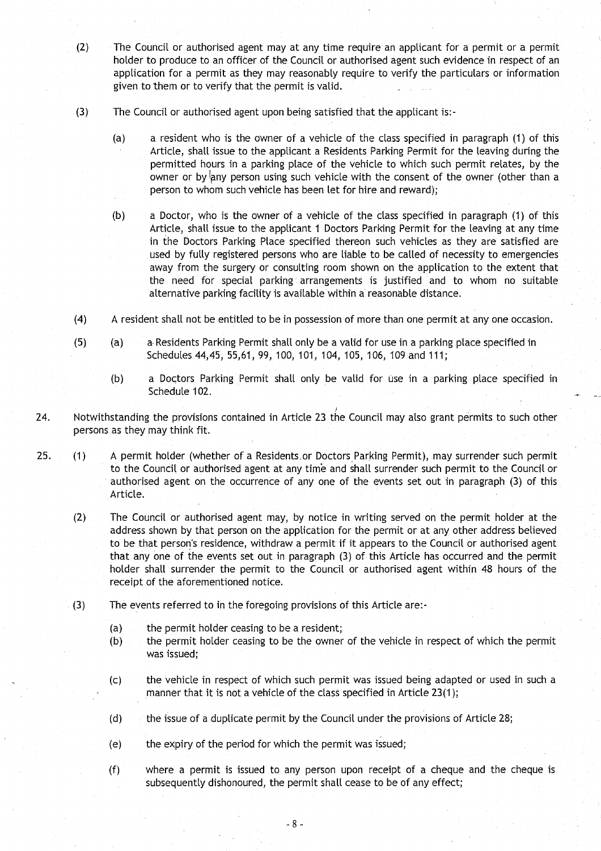- (2) The Council or authorised agent may at any time require an applicant for a permit or a permit holder to produce to an officer of the Council or authorised agent such evidence in respect of an application for a permit as they may reasonably require to verify the particulars or information given to them or to verify that the permit is valid.
- (3) The Council or authorised agent upon being satisfied that the applicant is :-
	- (a) a resident who is the owner of a vehicle of the class specified in paragraph (1) of this Article, shall issue to the applicant a Residents Parking Permit for the leaving during the permitted hours in a parking place of the vehicle to which such permit relates, by the owner or by any person using such vehicle with the consent of the owner (other than a person to whom such vehicle has been let for hire and reward);
	- (b) a Doctor, who is the owner of a vehicle of the class specified in paragraph (1) of this Article, shalt issue to the applicant 1 Doctors Parking Permit for the leaving at any time in the Doctors Parking Place specified thereon such vehicles as they are satisfied are used by fully registered persons who are liable to be called of necessity to emergencies away from the surgery or consulting room shown on the application to the extent that the need for special parking, arrangements is justified and to whom no suitable alternative parking facility is available within a reasonable distance .
- (4) A resident shall not be entitled to be in possession of more than one permit at any one occasion .
- (5) (a) a, Residents Parking Permit shall only be a valid for use in a parking place specified in Schedules 44,45, 55,61, 99, 100, 101, 104, 105, 106, 109 and 111 ;
	- (b) a Doctors Parking Permit shalt only be valid for use in a parking place specified in Schedule 102.
- 24. Notwithstanding the provisions contained in Article 23 the Council may also grant permits to such other persons as they may think fit.
- 25. (1) A permit holder (whether of a Residents or Doctors Parking Permit), may surrender such permit to the Council or authorised agent at any time and shall surrender such permit to the Council or authorised agent on the occurrence of any one of the events set out in paragraph (3) of this Article.
	- (2) The Council or authorised agent may, by notice in writing served on the permit holder at the address shown by that person on the application for the permit or at any other address believed to be that person's residence, withdraw a permit if it appears to the Council or authorised agent that any one of the events set out in paragraph (3) of this Article has occurred and the permit holder shall surrender the permit to the Council or authorised agent within 48 hours of the receipt of the aforementioned notice .
	- (3) The events referred to in the foregoing provisions of this Article are :-
		- (a) the permit holder ceasing to be a resident;
		- (b) the permit holder ceasing to be the owner of the vehicle in respect of which the permit was issued;
		- (c) the vehicle in respect of which such permit was issued being adapted or used in such a manner that it is not a vehicle of the class specified in Article 23(1);
		- (d) the issue of a duplicate permit by the Council under the provisions of Article 28;
		- (e) the expiry of the period for which the permit was issued ;
		- (f) where a permit is issued to any person upon receipt of a cheque and the cheque is subsequently dishonoured, the permit shall cease to be of any effect;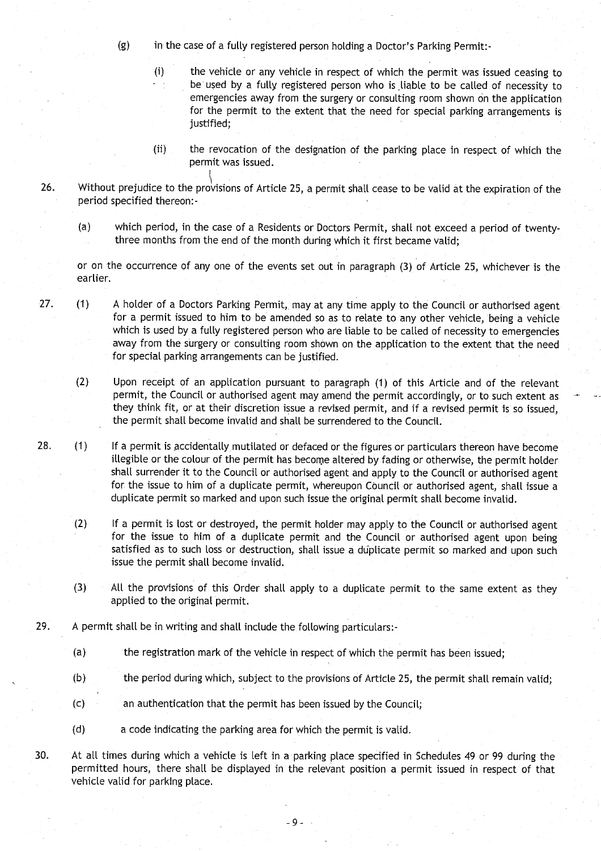- (g) in the case of a fully registered person holding a Doctor's Parking Permit:-
	- (i) the vehicle or any vehicle in respect of which the permit was issued ceasing to be used by a fully registered person who is liable to be called of necessity to emergencies away from the surgery or consulting room shown on the application for the permit to the extent that the need for special parking arrangements is justified;
	- (ii) the revocation of the designation of the parking place in respect of which the permit was issued .
- 26. Without prejudice to the provisions of Article 25, a permit shall cease to be valid at the expiration of the period specified thereon:-
	- (a) which period, in the case of a Residents or Doctors Permit, shall not exceed a period of twentythree months from the end of the month during which it first became valid;

or on the occurrence of any one of the events set out in paragraph (3) of Article 25, whichever is the earlier.

27. (1) A holder of a Doctors Parking Permit, may at any time apply to the Council or authorised agent for a permit issued to him to be amended so as to relate to any other vehicle, being a vehicle which is used by a fully registered person who are liable to be called of necessity to emergencies away from the surgery or consulting room shown on the application to the extent that the need for special parking arrangements can be justified.

(2) Upon receipt of an application pursuant to paragraph (1) of this Article and of the relevant permit, the Council or authorised agent may amend the permit accordingly, or to such extent as they think fit, or at their discretion issue a revised permit, and if a revised permit is so issued, the permit shall become invalid and shall be surrendered to the Council.

- 28. (1) If a permit is accidentally mutilated or defaced or the figures or particulars thereon have become illegible or the colour of the permit has become altered by fading or otherwise, the permit holder shall surrender it to the Council or authorised agent and apply to the Council or authorised agent for the issue to him of a duplicate permit, whereupon Council or authorised agent, shall issue a duplicate permit so marked and upon such issue the original permit shall become invalid.
	- (2) If a permit is lost or destroyed, the permit holder may apply to the Council or authorised agent for the issue to him of a duplicate permit and the Council or authorised agent upon being satisfied as to such loss or destruction, shall issue a duplicate permit so marked and upon such issue the permit shall become invalid.
	- (3) All the provisions of this Order shall apply to a duplicate permit to the same extent as they applied to the original permit.
- 29. A permit shall be in writing and shall include the following particulars:-
	- (a) the registration mark of the vehicle in respect of which the permit has been issued;
	- (b) the period during which, subject to the provisions of Article 25, the permit shall remain valid;
	- (c) an authentication that the permit has been issued by the Council;
	- (d) a code indicating the parking area for which the permit is valid.
- 30. At all times during which a vehicle is left in a parking place specified in Schedules 49 or 99 during the permitted hours, there shall be displayed in the relevant position a permit issued in respect of that vehicle valid for parking place.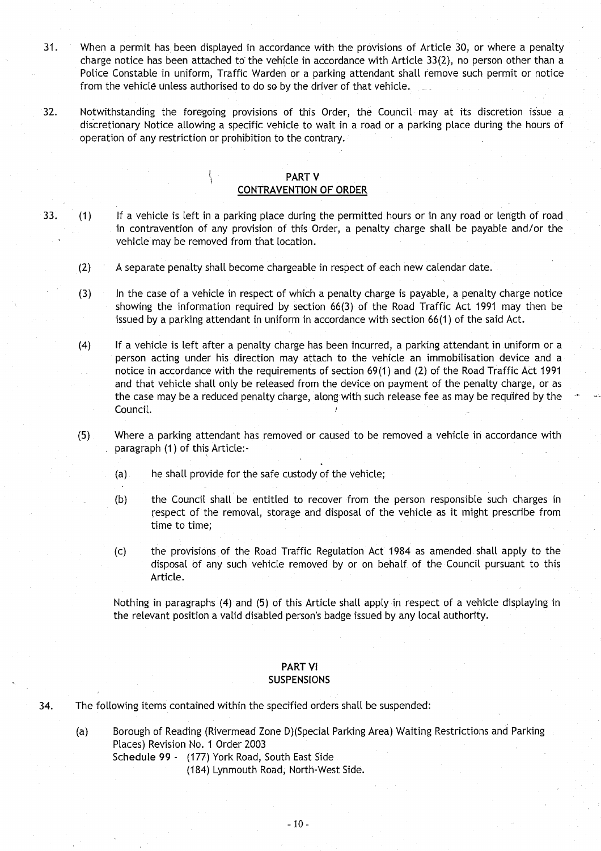- <sup>31</sup> . When a permit has been displayed in accordance with the provisions of Article 30, or where a penalty charge notice has been attached to the vehicle in accordance with Article 33(2), no person other than a Police Constable in uniform, Traffic Warden or a parking attendant shall remove such permit or notice from the vehicle unless authorised to do so by the driver of that vehicle.
- 32 . Notwithstanding the foregoing provisions of this Order, the Council may at its discretion issue a discretionary Notice allowing a specific vehicle to wait in a road or a parking place during the hours of operation of any restriction or prohibition to the contrary.

## PART V **CONTRAVENTION OF ORDER**

 $\left\{ \right.$ 

- 33 . (1) If a vehicle is left in a parking place during the permitted hours or in any road or length of road in contravention of any provision of this Order, a penalty charge shall be payable and/or the vehicle may be removed from that location.
	- (2) A separate penalty shall become chargeable in respect of each new calendar date .
	- (3) In the case of a vehicle in respect of which a penalty charge is payable, a penalty charge notice showing the information required by section 66(3) of the Road Traffic Act 1991 may then be issued by a parking attendant in uniform in accordance with section 66(1) of the said Act .
	- (4) If a vehicle is left after a penalty charge has been incurred, a parking attendant in uniform or a person acting under his direction may attach to the vehicle an immobilisation device and a notice in accordance with the requirements of section 69(1) and (2) of the Road Traffic Act 1991 and that vehicle shall only be released from the device on payment of the penalty charge, or as the case may be a reduced penalty charge, along with such release fee as may be required by the Council.
	- (5) Where a parking attendant has removed or caused to be removed a vehicle in accordance with paragraph (1) of this Article:-
		- (a) he shall provide for the safe custody of the vehicle;
		- (b) the Council shall be entitled to recover from the person responsible such charges in respect of the removal, storage and disposal of the vehicle as it might prescribe from time to time;
		- (c) the provisions of the Road Traffic Regulation Act 1984 as amended shall apply to the disposal of any such vehicle removed by or on behalf of the Council pursuant to this Article.

Nothing in paragraphs (4) and (5) of this Article shall apply in respect of a vehicle displaying in the relevant position a valid disabled person's badge issued by any local authority .

#### PART VI **SUSPENSIONS**

- 34. The following items contained within the specified orders shall be suspended :
	- (a) Borough of Reading (Rivermead Zone D)(Special Parking Area) Waiting Restrictions and Parking Places) Revision No. 1 Order 2003
		- Schedule 99 (177) York Road, South East Side
			- (184) Lynmouth Road, North-West Side.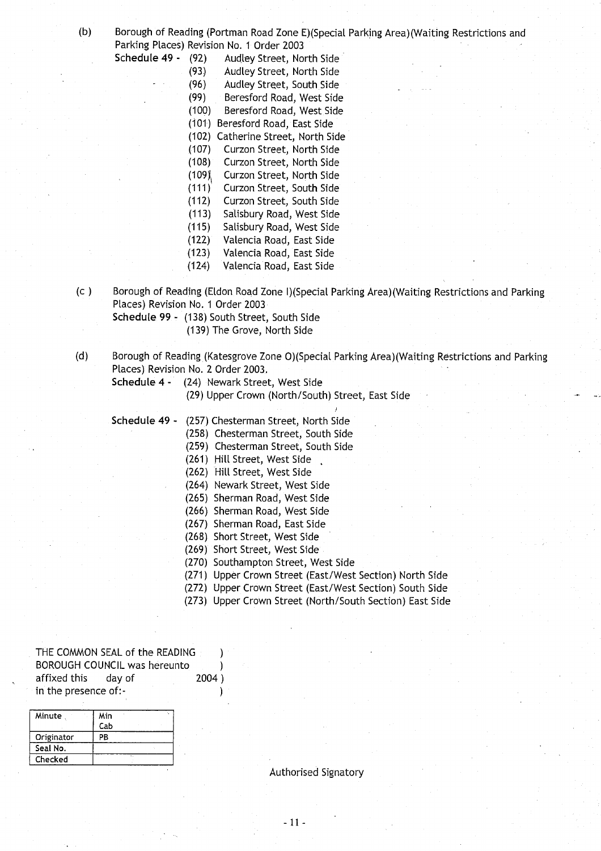Schedule 49 -

(b) Borough of Reading (Portman Road Zone E)(Special Parking Area)(Waiting Restrictions and Parking Places) Revision No. 1 Order 2003

| (92)  | Audley Street, North Side    |
|-------|------------------------------|
| (93)  | Audley Street, North Side    |
| (96)  | Audley Street, South Side    |
| (99)  | Beresford Road, West Side    |
| (100) | Beresford Road, West Side    |
| (101) | Beresford Road, East Side    |
| (102) | Catherine Street, North Side |
| (107) | Curzon Street, North Side    |
| (108) | Curzon Street, North Side    |
| (109) | Curzon Street, North Side    |
| (111) | Curzon Street, South Side    |
| (112) | Curzon Street, South Side    |
| (113) | Salisbury Road, West Side    |
| (115) | Salisbury Road, West Side    |
| (122) | Valencia Road, East Side     |
| (123) | Valencia Road, East Side     |
| (124) | Valencia Road, East Side     |

(c) Borough of Reading (Eldon Road Zone I)(Special Parking Area)(Waiting Restrictions and Parking Places) Revision No. 1 Order 2003

**Schedule 99 - (138** ) South Street, South Side

(139) The Grove, North Side

- (d) Borough of Reading (Katesgrove Zone 0)(Special Parking Area)(Waiting Restrictions and Parking Places) Revision No. 2 Order 2003.
	- **Schedule 4 -** (24) Newark Street, West Side

(29) Upper Crown (North/South) Street, East Side

- **Schedule 49 -** (257) Chesterman Street, North Side (258) Chesterman Street, South Side
	- (259) Chesterman Street, South Side
	- (261) Hill Street, West Side
	- (262) Hill Street, West Side
	- (264) Newark Street, West Side
	- (265) Sherman Road, West Side
	- (266) Sherman Road, West Side
	- (267) Sherman Road, East Side
	- (268) Short Street, West Side
	- (269) Short Street, West Side
	-
	- (270) Southampton Street, West Side
	- (271) Upper Crown Street (East/West Section) North Side
	- (272) Upper Crown Street (East/West Section) South Side
	- (273) Upper Crown Street (North/South Section) East Side

THE COMMON SEAL of the READING BOROUGH COUNCIL was hereunto BOROUGH COUNCIL was hereunto (approach)<br>affixed this day of (approach) in the presence of :-

J

| Minute     | Min |    |  |
|------------|-----|----|--|
|            | Cab |    |  |
| Originator | PB  |    |  |
| Seal No.   |     |    |  |
| Checked    |     | ٠. |  |

Authorised Signatory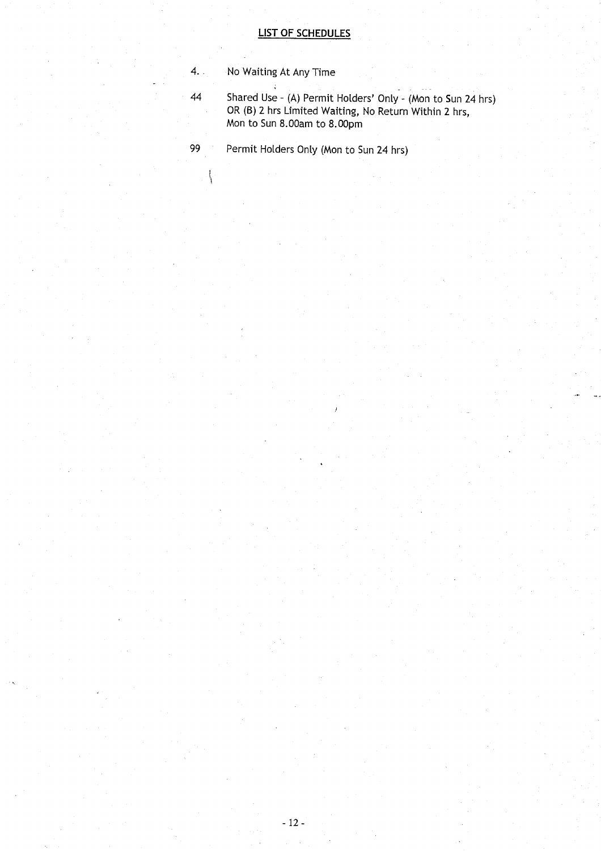4. . No Waiting At Any Time

 $\left\{ \right\}$ 

44 Shared Use - (A) Permit Holders' Only - (Mon to Sun 24 hrs OR (B) 2 hrs Limited Waiting, No Return Within 2 hrs, Mon to Sun **8 .OOam to 8.OOp m**

99 Permit Holders Only (Mon to Sun 24 hrs)